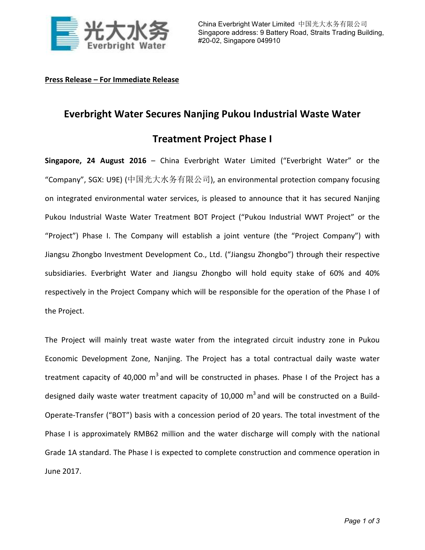

## **Press Release – For Immediate Release**

## **Everbright Water Secures Nanjing Pukou Industrial Waste Water**

## **Treatment Project Phase I**

**Singapore, 24 August 2016** – China Everbright Water Limited ("Everbright Water" or the "Company", SGX: U9E) (中国光大水务有限公司), an environmental protection company focusing on integrated environmental water services, is pleased to announce that it has secured Nanjing Pukou Industrial Waste Water Treatment BOT Project ("Pukou Industrial WWT Project" or the "Project") Phase I. The Company will establish a joint venture (the "Project Company") with Jiangsu Zhongbo Investment Development Co., Ltd. ("Jiangsu Zhongbo") through their respective subsidiaries. Everbright Water and Jiangsu Zhongbo will hold equity stake of 60% and 40% respectively in the Project Company which will be responsible for the operation of the Phase I of the Project.

The Project will mainly treat waste water from the integrated circuit industry zone in Pukou Economic Development Zone, Nanjing. The Project has a total contractual daily waste water treatment capacity of 40,000  $m^3$  and will be constructed in phases. Phase I of the Project has a designed daily waste water treatment capacity of 10,000  $m^3$  and will be constructed on a Build-Operate-Transfer ("BOT") basis with a concession period of 20 years. The total investment of the Phase I is approximately RMB62 million and the water discharge will comply with the national Grade 1A standard. The Phase I is expected to complete construction and commence operation in June 2017.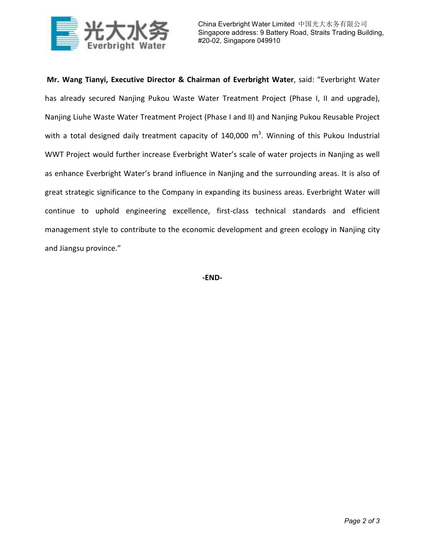

**Mr. Wang Tianyi, Executive Director & Chairman of Everbright Water**, said: "Everbright Water has already secured Nanjing Pukou Waste Water Treatment Project (Phase I, II and upgrade), Nanjing Liuhe Waste Water Treatment Project (Phase I and II) and Nanjing Pukou Reusable Project with a total designed daily treatment capacity of 140,000  $\text{m}^3$ . Winning of this Pukou Industrial WWT Project would further increase Everbright Water's scale of water projects in Nanjing as well as enhance Everbright Water's brand influence in Nanjing and the surrounding areas. It is also of great strategic significance to the Company in expanding its business areas. Everbright Water will continue to uphold engineering excellence, first-class technical standards and efficient management style to contribute to the economic development and green ecology in Nanjing city and Jiangsu province."

**-END-**